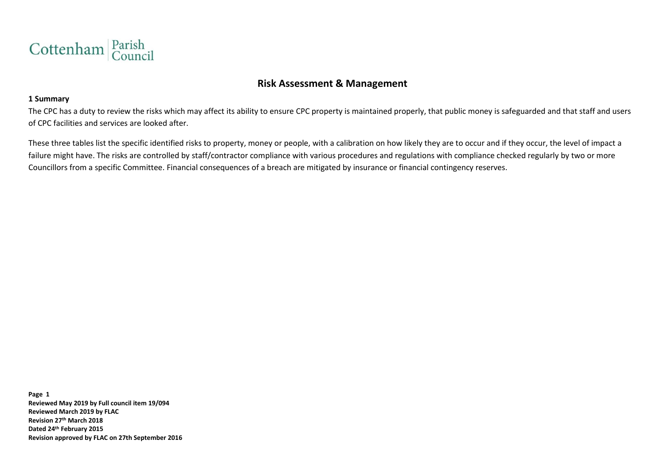

# **Risk Assessment & Management**

#### **1 Summary**

The CPC has a duty to review the risks which may affect its ability to ensure CPC property is maintained properly, that public money is safeguarded and that staff and users of CPC facilities and services are looked after.

These three tables list the specific identified risks to property, money or people, with a calibration on how likely they are to occur and if they occur, the level of impact a failure might have. The risks are controlled by staff/contractor compliance with various procedures and regulations with compliance checked regularly by two or more Councillors from a specific Committee. Financial consequences of a breach are mitigated by insurance or financial contingency reserves.

**Page 1 Reviewed May 2019 by Full council item 19/094 Reviewed March 2019 by FLAC Revision 27th March 2018 Dated 24th February 2015 Revision approved by FLAC on 27th September 2016**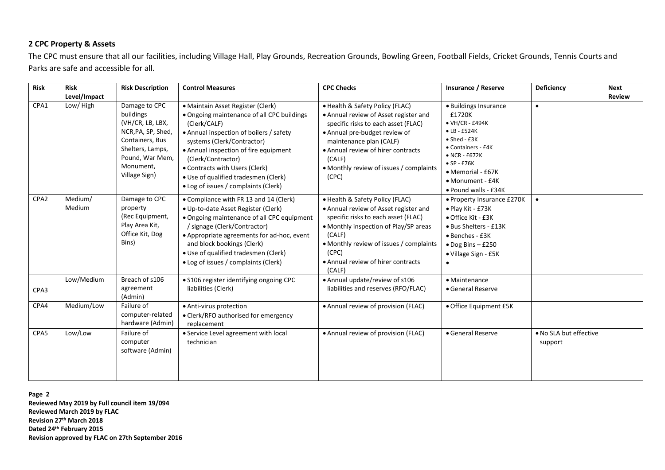### **2 CPC Property & Assets**

The CPC must ensure that all our facilities, including Village Hall, Play Grounds, Recreation Grounds, Bowling Green, Football Fields, Cricket Grounds, Tennis Courts and Parks are safe and accessible for all.

| <b>Risk</b>      | <b>Risk</b><br>Level/Impact | <b>Risk Description</b>                                                                                                                                      | <b>Control Measures</b>                                                                                                                                                                                                                                                                                                                                   | <b>CPC Checks</b>                                                                                                                                                                                                                                                               | <b>Insurance / Reserve</b>                                                                                                                                                                                                                        | Deficiency                        | <b>Next</b><br><b>Review</b> |
|------------------|-----------------------------|--------------------------------------------------------------------------------------------------------------------------------------------------------------|-----------------------------------------------------------------------------------------------------------------------------------------------------------------------------------------------------------------------------------------------------------------------------------------------------------------------------------------------------------|---------------------------------------------------------------------------------------------------------------------------------------------------------------------------------------------------------------------------------------------------------------------------------|---------------------------------------------------------------------------------------------------------------------------------------------------------------------------------------------------------------------------------------------------|-----------------------------------|------------------------------|
| CPA1             | Low/High                    | Damage to CPC<br>buildings<br>(VH/CR, LB, LBX,<br>NCR, PA, SP, Shed,<br>Containers, Bus<br>Shelters, Lamps,<br>Pound, War Mem,<br>Monument,<br>Village Sign) | • Maintain Asset Register (Clerk)<br>• Ongoing maintenance of all CPC buildings<br>(Clerk/CALF)<br>• Annual inspection of boilers / safety<br>systems (Clerk/Contractor)<br>• Annual inspection of fire equipment<br>(Clerk/Contractor)<br>• Contracts with Users (Clerk)<br>· Use of qualified tradesmen (Clerk)<br>• Log of issues / complaints (Clerk) | • Health & Safety Policy (FLAC)<br>• Annual review of Asset register and<br>specific risks to each asset (FLAC)<br>• Annual pre-budget review of<br>maintenance plan (CALF)<br>• Annual review of hirer contracts<br>(CALF)<br>• Monthly review of issues / complaints<br>(CPC) | · Buildings Insurance<br>£1720K<br>$\bullet$ VH/CR - £494K<br>$\bullet$ LB - £524K<br>$\bullet$ Shed - £3K<br>• Containers - £4K<br>$\bullet$ NCR - £672K<br>$\bullet$ SP - £76K<br>• Memorial - £67K<br>• Monument - £4K<br>• Pound walls - £34K | $\bullet$                         |                              |
| CPA <sub>2</sub> | Medium/<br>Medium           | Damage to CPC<br>property<br>(Rec Equipment,<br>Play Area Kit,<br>Office Kit, Dog<br>Bins)                                                                   | • Compliance with FR 13 and 14 (Clerk)<br>• Up-to-date Asset Register (Clerk)<br>• Ongoing maintenance of all CPC equipment<br>/ signage (Clerk/Contractor)<br>• Appropriate agreements for ad-hoc, event<br>and block bookings (Clerk)<br>· Use of qualified tradesmen (Clerk)<br>• Log of issues / complaints (Clerk)                                   | • Health & Safety Policy (FLAC)<br>• Annual review of Asset register and<br>specific risks to each asset (FLAC)<br>• Monthly inspection of Play/SP areas<br>(CALF)<br>• Monthly review of issues / complaints<br>(CPC)<br>• Annual review of hirer contracts<br>(CALF)          | • Property Insurance £270K<br>• Play Kit - £73K<br>• Office Kit - £3K<br>· Bus Shelters - £13K<br>• Benches - £3K<br>$\bullet$ Dog Bins - £250<br>• Village Sign - £5K<br>$\bullet$                                                               | $\bullet$                         |                              |
| CPA3             | Low/Medium                  | Breach of s106<br>agreement<br>(Admin)                                                                                                                       | · S106 register identifying ongoing CPC<br>liabilities (Clerk)                                                                                                                                                                                                                                                                                            | • Annual update/review of s106<br>liabilities and reserves (RFO/FLAC)                                                                                                                                                                                                           | · Maintenance<br>• General Reserve                                                                                                                                                                                                                |                                   |                              |
| CPA4             | Medium/Low                  | Failure of<br>computer-related<br>hardware (Admin)                                                                                                           | • Anti-virus protection<br>• Clerk/RFO authorised for emergency<br>replacement                                                                                                                                                                                                                                                                            | • Annual review of provision (FLAC)                                                                                                                                                                                                                                             | • Office Equipment £5K                                                                                                                                                                                                                            |                                   |                              |
| CPA5             | Low/Low                     | Failure of<br>computer<br>software (Admin)                                                                                                                   | • Service Level agreement with local<br>technician                                                                                                                                                                                                                                                                                                        | • Annual review of provision (FLAC)                                                                                                                                                                                                                                             | • General Reserve                                                                                                                                                                                                                                 | . No SLA but effective<br>support |                              |

**Page 2 Reviewed May 2019 by Full council item 19/094 Reviewed March 2019 by FLAC Revision 27th March 2018 Dated 24th February 2015 Revision approved by FLAC on 27th September 2016**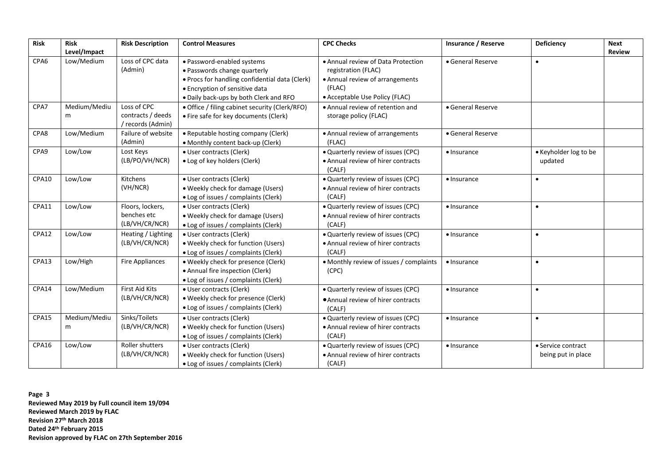| Risk  | <b>Risk</b><br>Level/Impact | <b>Risk Description</b>                               | <b>Control Measures</b>                                                                                                                                                                  | <b>CPC Checks</b>                                                                                                                        | <b>Insurance / Reserve</b> | <b>Deficiency</b>                        | <b>Next</b><br><b>Review</b> |
|-------|-----------------------------|-------------------------------------------------------|------------------------------------------------------------------------------------------------------------------------------------------------------------------------------------------|------------------------------------------------------------------------------------------------------------------------------------------|----------------------------|------------------------------------------|------------------------------|
| CPA6  | Low/Medium                  | Loss of CPC data<br>(Admin)                           | · Password-enabled systems<br>· Passwords change quarterly<br>. Procs for handling confidential data (Clerk)<br>• Encryption of sensitive data<br>. Daily back-ups by both Clerk and RFO | • Annual review of Data Protection<br>registration (FLAC)<br>• Annual review of arrangements<br>(FLAC)<br>• Acceptable Use Policy (FLAC) | • General Reserve          | $\bullet$                                |                              |
| CPA7  | Medium/Mediu<br>m           | Loss of CPC<br>contracts / deeds<br>/ records (Admin) | · Office / filing cabinet security (Clerk/RFO)<br>• Fire safe for key documents (Clerk)                                                                                                  | • Annual review of retention and<br>storage policy (FLAC)                                                                                | • General Reserve          |                                          |                              |
| CPA8  | Low/Medium                  | Failure of website<br>(Admin)                         | • Reputable hosting company (Clerk)<br>• Monthly content back-up (Clerk)                                                                                                                 | • Annual review of arrangements<br>(FLAC)                                                                                                | • General Reserve          |                                          |                              |
| CPA9  | Low/Low                     | Lost Keys<br>(LB/PO/VH/NCR)                           | · User contracts (Clerk)<br>· Log of key holders (Clerk)                                                                                                                                 | · Quarterly review of issues (CPC)<br>• Annual review of hirer contracts<br>(CALF)                                                       | · Insurance                | • Keyholder log to be<br>updated         |                              |
| CPA10 | Low/Low                     | Kitchens<br>(VH/NCR)                                  | · User contracts (Clerk)<br>• Weekly check for damage (Users)<br>• Log of issues / complaints (Clerk)                                                                                    | . Quarterly review of issues (CPC)<br>• Annual review of hirer contracts<br>(CALF)                                                       | · Insurance                | $\bullet$                                |                              |
| CPA11 | Low/Low                     | Floors, lockers,<br>benches etc<br>(LB/VH/CR/NCR)     | · User contracts (Clerk)<br>• Weekly check for damage (Users)<br>• Log of issues / complaints (Clerk)                                                                                    | . Quarterly review of issues (CPC)<br>• Annual review of hirer contracts<br>(CALF)                                                       | · Insurance                | $\bullet$                                |                              |
| CPA12 | Low/Low                     | Heating / Lighting<br>(LB/VH/CR/NCR)                  | · User contracts (Clerk)<br>. Weekly check for function (Users)<br>• Log of issues / complaints (Clerk)                                                                                  | · Quarterly review of issues (CPC)<br>• Annual review of hirer contracts<br>(CALF)                                                       | $\bullet$ Insurance        | $\bullet$                                |                              |
| CPA13 | Low/High                    | <b>Fire Appliances</b>                                | . Weekly check for presence (Clerk)<br>• Annual fire inspection (Clerk)<br>• Log of issues / complaints (Clerk)                                                                          | • Monthly review of issues / complaints<br>(CPC)                                                                                         | · Insurance                | $\bullet$                                |                              |
| CPA14 | Low/Medium                  | First Aid Kits<br>(LB/VH/CR/NCR)                      | · User contracts (Clerk)<br>. Weekly check for presence (Clerk)<br>• Log of issues / complaints (Clerk)                                                                                  | · Quarterly review of issues (CPC)<br>• Annual review of hirer contracts<br>(CALF)                                                       | $\bullet$ Insurance        | $\bullet$                                |                              |
| CPA15 | Medium/Mediu<br>m           | Sinks/Toilets<br>(LB/VH/CR/NCR)                       | · User contracts (Clerk)<br>. Weekly check for function (Users)<br>• Log of issues / complaints (Clerk)                                                                                  | . Quarterly review of issues (CPC)<br>• Annual review of hirer contracts<br>(CALF)                                                       | $\bullet$ Insurance        | $\bullet$                                |                              |
| CPA16 | Low/Low                     | Roller shutters<br>(LB/VH/CR/NCR)                     | · User contracts (Clerk)<br>. Weekly check for function (Users)<br>• Log of issues / complaints (Clerk)                                                                                  | . Quarterly review of issues (CPC)<br>• Annual review of hirer contracts<br>(CALF)                                                       | $\bullet$ Insurance        | • Service contract<br>being put in place |                              |

**Page 3 Reviewed May 2019 by Full council item 19/094 Reviewed March 2019 by FLAC Revision 27th March 2018 Dated 24th February 2015 Revision approved by FLAC on 27th September 2016**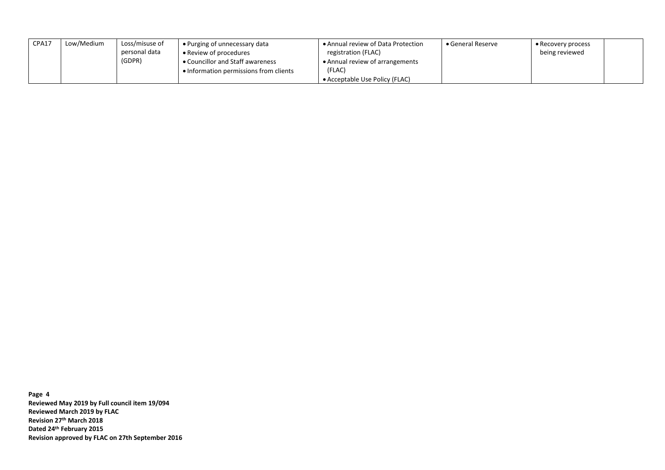| CPA17 | Low/Medium | Loss/misuse of<br>personal data<br>(GDPR) | • Purging of unnecessary data<br>• Review of procedures<br>• Councillor and Staff awareness | • Annual review of Data Protection<br>registration (FLAC)<br>• Annual review of arrangements | $\bullet$ General Reserve | $\bullet$ Recovery process<br>being reviewed |
|-------|------------|-------------------------------------------|---------------------------------------------------------------------------------------------|----------------------------------------------------------------------------------------------|---------------------------|----------------------------------------------|
|       |            |                                           | • Information permissions from clients                                                      | (FLAC)                                                                                       |                           |                                              |
|       |            |                                           |                                                                                             | • Acceptable Use Policy (FLAC)                                                               |                           |                                              |

**Page 4 Reviewed May 2019 by Full council item 19/094 Reviewed March 2019 by FLAC Revision 27th March 2018 Dated 24th February 2015 Revision approved by FLAC on 27th September 2016**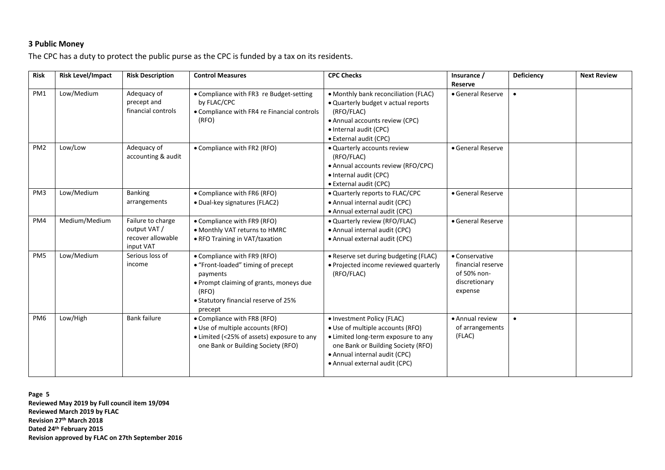## **3 Public Money**

The CPC has a duty to protect the public purse as the CPC is funded by a tax on its residents.

| <b>Risk</b>     | <b>Risk Level/Impact</b> | <b>Risk Description</b>                                             | <b>Control Measures</b>                                                                                                                                                              | <b>CPC Checks</b>                                                                                                                                                                                             | Insurance /<br>Reserve                                                         | Deficiency | <b>Next Review</b> |
|-----------------|--------------------------|---------------------------------------------------------------------|--------------------------------------------------------------------------------------------------------------------------------------------------------------------------------------|---------------------------------------------------------------------------------------------------------------------------------------------------------------------------------------------------------------|--------------------------------------------------------------------------------|------------|--------------------|
| PM1             | Low/Medium               | Adequacy of<br>precept and<br>financial controls                    | • Compliance with FR3 re Budget-setting<br>by FLAC/CPC<br>• Compliance with FR4 re Financial controls<br>(RFO)                                                                       | · Monthly bank reconciliation (FLAC)<br>• Quarterly budget v actual reports<br>(RFO/FLAC)<br>• Annual accounts review (CPC)<br>• Internal audit (CPC)<br>• External audit (CPC)                               | • General Reserve                                                              | $\bullet$  |                    |
| PM <sub>2</sub> | Low/Low                  | Adequacy of<br>accounting & audit                                   | • Compliance with FR2 (RFO)                                                                                                                                                          | • Quarterly accounts review<br>(RFO/FLAC)<br>• Annual accounts review (RFO/CPC)<br>• Internal audit (CPC)<br>• External audit (CPC)                                                                           | • General Reserve                                                              |            |                    |
| PM <sub>3</sub> | Low/Medium               | <b>Banking</b><br>arrangements                                      | • Compliance with FR6 (RFO)<br>• Dual-key signatures (FLAC2)                                                                                                                         | . Quarterly reports to FLAC/CPC<br>• Annual internal audit (CPC)<br>• Annual external audit (CPC)                                                                                                             | • General Reserve                                                              |            |                    |
| PM4             | Medium/Medium            | Failure to charge<br>output VAT /<br>recover allowable<br>input VAT | • Compliance with FR9 (RFO)<br>• Monthly VAT returns to HMRC<br>• RFO Training in VAT/taxation                                                                                       | • Quarterly review (RFO/FLAC)<br>· Annual internal audit (CPC)<br>• Annual external audit (CPC)                                                                                                               | • General Reserve                                                              |            |                    |
| PM <sub>5</sub> | Low/Medium               | Serious loss of<br>income                                           | • Compliance with FR9 (RFO)<br>• "Front-loaded" timing of precept<br>payments<br>. Prompt claiming of grants, moneys due<br>(RFO)<br>• Statutory financial reserve of 25%<br>precept | • Reserve set during budgeting (FLAC)<br>• Projected income reviewed quarterly<br>(RFO/FLAC)                                                                                                                  | • Conservative<br>financial reserve<br>of 50% non-<br>discretionary<br>expense |            |                    |
| PM <sub>6</sub> | Low/High                 | <b>Bank failure</b>                                                 | • Compliance with FR8 (RFO)<br>• Use of multiple accounts (RFO)<br>• Limited (<25% of assets) exposure to any<br>one Bank or Building Society (RFO)                                  | • Investment Policy (FLAC)<br>• Use of multiple accounts (RFO)<br>• Limited long-term exposure to any<br>one Bank or Building Society (RFO)<br>· Annual internal audit (CPC)<br>• Annual external audit (CPC) | • Annual review<br>of arrangements<br>(FLAC)                                   | $\bullet$  |                    |

**Page 5 Reviewed May 2019 by Full council item 19/094 Reviewed March 2019 by FLAC Revision 27th March 2018 Dated 24th February 2015 Revision approved by FLAC on 27th September 2016**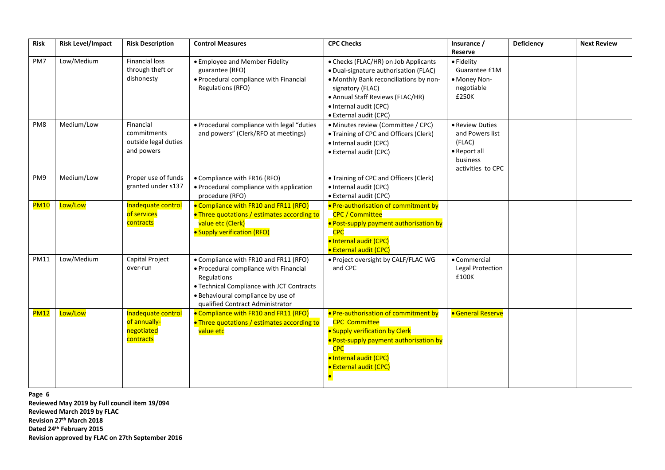| <b>Risk</b> | <b>Risk Level/Impact</b> | <b>Risk Description</b>                                        | <b>Control Measures</b>                                                                                                                                                                                               | <b>CPC Checks</b>                                                                                                                                                                                                                   | Insurance /<br>Reserve                                                                        | Deficiency | <b>Next Review</b> |
|-------------|--------------------------|----------------------------------------------------------------|-----------------------------------------------------------------------------------------------------------------------------------------------------------------------------------------------------------------------|-------------------------------------------------------------------------------------------------------------------------------------------------------------------------------------------------------------------------------------|-----------------------------------------------------------------------------------------------|------------|--------------------|
| PM7         | Low/Medium               | <b>Financial loss</b><br>through theft or<br>dishonesty        | • Employee and Member Fidelity<br>guarantee (RFO)<br>• Procedural compliance with Financial<br><b>Regulations (RFO)</b>                                                                                               | • Checks (FLAC/HR) on Job Applicants<br>· Dual-signature authorisation (FLAC)<br>• Monthly Bank reconciliations by non-<br>signatory (FLAC)<br>• Annual Staff Reviews (FLAC/HR)<br>· Internal audit (CPC)<br>• External audit (CPC) | • Fidelity<br>Guarantee £1M<br>• Money Non-<br>negotiable<br>£250K                            |            |                    |
| PM8         | Medium/Low               | Financial<br>commitments<br>outside legal duties<br>and powers | • Procedural compliance with legal "duties<br>and powers" (Clerk/RFO at meetings)                                                                                                                                     | • Minutes review (Committee / CPC)<br>• Training of CPC and Officers (Clerk)<br>· Internal audit (CPC)<br>· External audit (CPC)                                                                                                    | • Review Duties<br>and Powers list<br>(FLAC)<br>• Report all<br>business<br>activities to CPC |            |                    |
| PM9         | Medium/Low               | Proper use of funds<br>granted under s137                      | • Compliance with FR16 (RFO)<br>• Procedural compliance with application<br>procedure (RFO)                                                                                                                           | • Training of CPC and Officers (Clerk)<br>• Internal audit (CPC)<br>· External audit (CPC)                                                                                                                                          |                                                                                               |            |                    |
| <b>PM10</b> | Low/Low                  | Inadequate control<br>of services<br>contracts                 | • Compliance with FR10 and FR11 (RFO)<br>. Three quotations / estimates according to<br>value etc (Clerk)<br>• Supply verification (RFO)                                                                              | • Pre-authorisation of commitment by<br><b>CPC / Committee</b><br>· Post-supply payment authorisation by<br><b>CPC</b><br>· Internal audit (CPC)<br>· External audit (CPC)                                                          |                                                                                               |            |                    |
| <b>PM11</b> | Low/Medium               | Capital Project<br>over-run                                    | • Compliance with FR10 and FR11 (RFO)<br>• Procedural compliance with Financial<br>Regulations<br>• Technical Compliance with JCT Contracts<br>· Behavioural compliance by use of<br>qualified Contract Administrator | . Project oversight by CALF/FLAC WG<br>and CPC                                                                                                                                                                                      | • Commercial<br>Legal Protection<br>£100K                                                     |            |                    |
| <b>PM12</b> | Low/Low                  | Inadequate control<br>of annually-<br>negotiated<br>contracts  | • Compliance with FR10 and FR11 (RFO)<br>. Three quotations / estimates according to<br>value etc                                                                                                                     | • Pre-authorisation of commitment by<br><b>CPC Committee</b><br>· Supply verification by Clerk<br>· Post-supply payment authorisation by<br><b>CPC</b><br>· Internal audit (CPC)<br><b>• External audit (CPC)</b>                   | <b>General Reserve</b>                                                                        |            |                    |

**Page 6**

**Reviewed May 2019 by Full council item 19/094 Reviewed March 2019 by FLAC Revision 27th March 2018 Dated 24th February 2015 Revision approved by FLAC on 27th September 2016**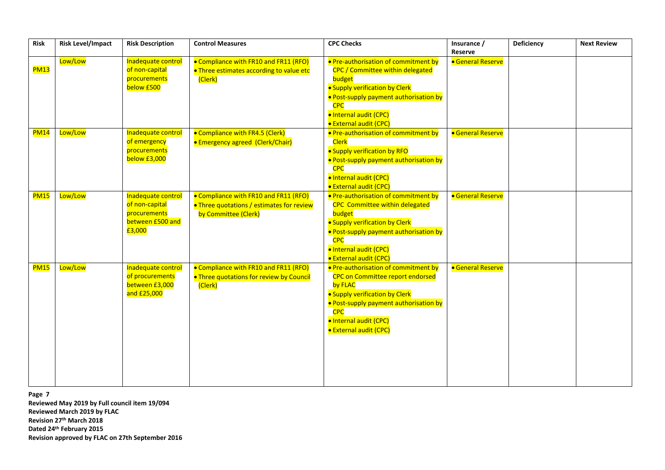| <b>Risk</b> | <b>Risk Level/Impact</b> | <b>Risk Description</b>                                                            | <b>Control Measures</b>                                                                                    | <b>CPC Checks</b>                                                                                                                                                                                                                               | Insurance /<br>Reserve   | Deficiency | <b>Next Review</b> |
|-------------|--------------------------|------------------------------------------------------------------------------------|------------------------------------------------------------------------------------------------------------|-------------------------------------------------------------------------------------------------------------------------------------------------------------------------------------------------------------------------------------------------|--------------------------|------------|--------------------|
| <b>PM13</b> | Low/Low                  | Inadequate control<br>of non-capital<br>procurements<br>below £500                 | • Compliance with FR10 and FR11 (RFO)<br>. Three estimates according to value etc<br>(Clerk)               | . Pre-authorisation of commitment by<br>CPC / Committee within delegated<br>budget<br>· Supply verification by Clerk<br>· Post-supply payment authorisation by<br><b>CPC</b><br>· Internal audit (CPC)<br><b>• External audit (CPC)</b>         | <b>• General Reserve</b> |            |                    |
| <b>PM14</b> | Low/Low                  | Inadequate control<br>of emergency<br>procurements<br>below £3,000                 | • Compliance with FR4.5 (Clerk)<br><b>• Emergency agreed (Clerk/Chair)</b>                                 | • Pre-authorisation of commitment by<br><b>Clerk</b><br>· Supply verification by RFO<br>· Post-supply payment authorisation by<br><b>CPC</b><br>· Internal audit (CPC)<br><b>External audit (CPC)</b>                                           | <b>General Reserve</b>   |            |                    |
| <b>PM15</b> | Low/Low                  | Inadequate control<br>of non-capital<br>procurements<br>between £500 and<br>£3,000 | • Compliance with FR10 and FR11 (RFO)<br>. Three quotations / estimates for review<br>by Committee (Clerk) | • Pre-authorisation of commitment by<br><b>CPC</b> Committee within delegated<br>budget<br>· Supply verification by Clerk<br>· Post-supply payment authorisation by<br><b>CPC</b><br>· Internal audit (CPC)<br>· External audit (CPC)           | <b>General Reserve</b>   |            |                    |
| <b>PM15</b> | Low/Low                  | Inadequate control<br>of procurements<br>between £3,000<br>and £25,000             | • Compliance with FR10 and FR11 (RFO)<br>. Three quotations for review by Council<br>(Clerk)               | . Pre-authorisation of commitment by<br><b>CPC on Committee report endorsed</b><br>by FLAC<br>· Supply verification by Clerk<br>· Post-supply payment authorisation by<br><b>CPC</b><br>· Internal audit (CPC)<br><b>• External audit (CPC)</b> | <b>• General Reserve</b> |            |                    |

**Page 7**

**Reviewed May 2019 by Full council item 19/094 Reviewed March 2019 by FLAC Revision 27th March 2018 Dated 24th February 2015 Revision approved by FLAC on 27th September 2016**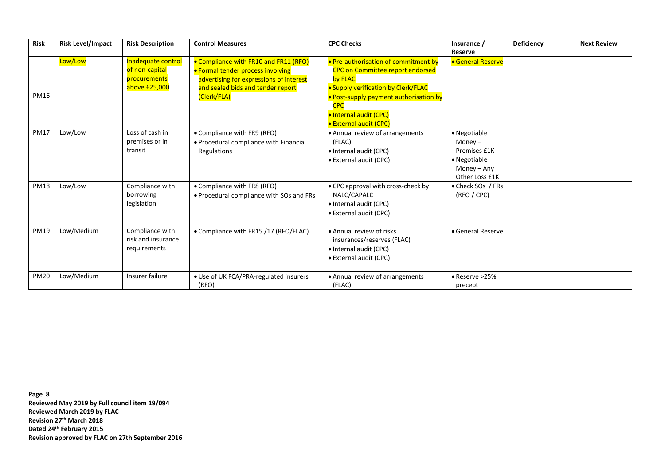| <b>Risk</b> | <b>Risk Level/Impact</b> | <b>Risk Description</b>                                               | <b>Control Measures</b>                                                                                                                                                          | <b>CPC Checks</b>                                                                                                                                                                                                                                  | Insurance /<br>Reserve                                                                       | Deficiency | <b>Next Review</b> |
|-------------|--------------------------|-----------------------------------------------------------------------|----------------------------------------------------------------------------------------------------------------------------------------------------------------------------------|----------------------------------------------------------------------------------------------------------------------------------------------------------------------------------------------------------------------------------------------------|----------------------------------------------------------------------------------------------|------------|--------------------|
| <b>PM16</b> | Low/Low                  | Inadequate control<br>of non-capital<br>procurements<br>above £25,000 | • Compliance with FR10 and FR11 (RFO)<br><b>• Formal tender process involving</b><br>advertising for expressions of interest<br>and sealed bids and tender report<br>(Clerk/FLA) | • Pre-authorisation of commitment by<br><b>CPC on Committee report endorsed</b><br>by FLAC<br>· Supply verification by Clerk/FLAC<br>· Post-supply payment authorisation by<br><b>CPC</b><br>· Internal audit (CPC)<br><b>External audit (CPC)</b> | <b>• General Reserve</b>                                                                     |            |                    |
| <b>PM17</b> | Low/Low                  | Loss of cash in<br>premises or in<br>transit                          | • Compliance with FR9 (RFO)<br>• Procedural compliance with Financial<br>Regulations                                                                                             | • Annual review of arrangements<br>(FLAC)<br>• Internal audit (CPC)<br>• External audit (CPC)                                                                                                                                                      | · Negotiable<br>Money $-$<br>Premises £1K<br>• Negotiable<br>Money $-$ Any<br>Other Loss £1K |            |                    |
| <b>PM18</b> | Low/Low                  | Compliance with<br>borrowing<br>legislation                           | • Compliance with FR8 (RFO)<br>• Procedural compliance with SOs and FRs                                                                                                          | • CPC approval with cross-check by<br>NALC/CAPALC<br>• Internal audit (CPC)<br>• External audit (CPC)                                                                                                                                              | • Check SOs / FRs<br>(RFO / CPC)                                                             |            |                    |
| <b>PM19</b> | Low/Medium               | Compliance with<br>risk and insurance<br>requirements                 | • Compliance with FR15 /17 (RFO/FLAC)                                                                                                                                            | • Annual review of risks<br>insurances/reserves (FLAC)<br>• Internal audit (CPC)<br>• External audit (CPC)                                                                                                                                         | • General Reserve                                                                            |            |                    |
| <b>PM20</b> | Low/Medium               | Insurer failure                                                       | • Use of UK FCA/PRA-regulated insurers<br>(RFO)                                                                                                                                  | • Annual review of arrangements<br>(FLAC)                                                                                                                                                                                                          | $\bullet$ Reserve >25%<br>precept                                                            |            |                    |

**Page 8 Reviewed May 2019 by Full council item 19/094 Reviewed March 2019 by FLAC Revision 27th March 2018 Dated 24th February 2015 Revision approved by FLAC on 27th September 2016**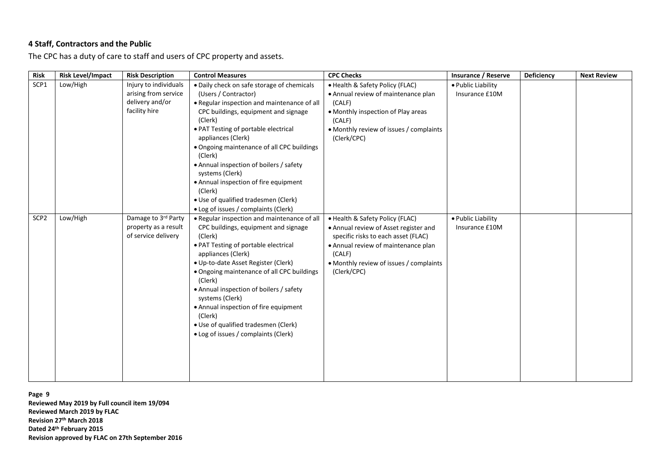## **4 Staff, Contractors and the Public**

The CPC has a duty of care to staff and users of CPC property and assets.

| <b>Risk</b>      | <b>Risk Level/Impact</b> | <b>Risk Description</b>                                                           | <b>Control Measures</b>                                                                                                                                                                                                                                                                                                                                                                                                                                                                       | <b>CPC Checks</b>                                                                                                                                                                                                          | Insurance / Reserve                  | Deficiency | <b>Next Review</b> |
|------------------|--------------------------|-----------------------------------------------------------------------------------|-----------------------------------------------------------------------------------------------------------------------------------------------------------------------------------------------------------------------------------------------------------------------------------------------------------------------------------------------------------------------------------------------------------------------------------------------------------------------------------------------|----------------------------------------------------------------------------------------------------------------------------------------------------------------------------------------------------------------------------|--------------------------------------|------------|--------------------|
| SCP1             | Low/High                 | Injury to individuals<br>arising from service<br>delivery and/or<br>facility hire | · Daily check on safe storage of chemicals<br>(Users / Contractor)<br>. Regular inspection and maintenance of all<br>CPC buildings, equipment and signage<br>(Clerk)<br>• PAT Testing of portable electrical<br>appliances (Clerk)<br>• Ongoing maintenance of all CPC buildings<br>(Clerk)<br>• Annual inspection of boilers / safety<br>systems (Clerk)<br>• Annual inspection of fire equipment<br>(Clerk)<br>· Use of qualified tradesmen (Clerk)<br>• Log of issues / complaints (Clerk) | • Health & Safety Policy (FLAC)<br>• Annual review of maintenance plan<br>(CALF)<br>• Monthly inspection of Play areas<br>(CALF)<br>• Monthly review of issues / complaints<br>(Clerk/CPC)                                 | · Public Liability<br>Insurance £10M |            |                    |
| SCP <sub>2</sub> | Low/High                 | Damage to 3rd Party<br>property as a result<br>of service delivery                | . Regular inspection and maintenance of all<br>CPC buildings, equipment and signage<br>(Clerk)<br>• PAT Testing of portable electrical<br>appliances (Clerk)<br>· Up-to-date Asset Register (Clerk)<br>• Ongoing maintenance of all CPC buildings<br>(Clerk)<br>• Annual inspection of boilers / safety<br>systems (Clerk)<br>• Annual inspection of fire equipment<br>(Clerk)<br>• Use of qualified tradesmen (Clerk)<br>• Log of issues / complaints (Clerk)                                | • Health & Safety Policy (FLAC)<br>• Annual review of Asset register and<br>specific risks to each asset (FLAC)<br>• Annual review of maintenance plan<br>(CALF)<br>• Monthly review of issues / complaints<br>(Clerk/CPC) | · Public Liability<br>Insurance £10M |            |                    |

**Page 9 Reviewed May 2019 by Full council item 19/094 Reviewed March 2019 by FLAC Revision 27th March 2018 Dated 24th February 2015 Revision approved by FLAC on 27th September 2016**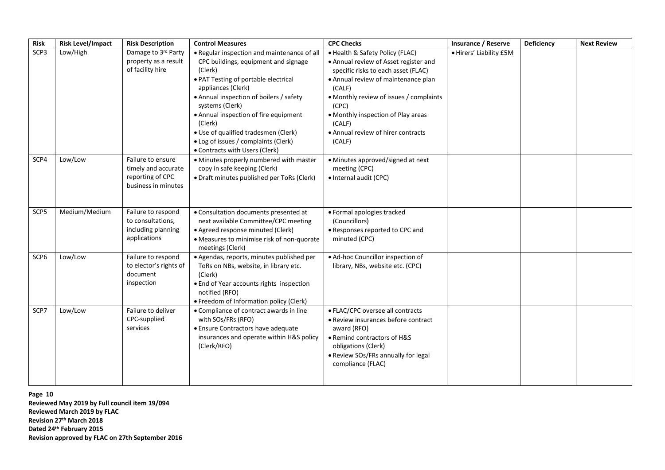| <b>Risk</b>      | <b>Risk Level/Impact</b> | <b>Risk Description</b>                 | <b>Control Measures</b>                                                         | <b>CPC Checks</b>                                | Insurance / Reserve     | Deficiency | <b>Next Review</b> |
|------------------|--------------------------|-----------------------------------------|---------------------------------------------------------------------------------|--------------------------------------------------|-------------------------|------------|--------------------|
| SCP3             | Low/High                 | Damage to 3rd Party                     | • Regular inspection and maintenance of all                                     | • Health & Safety Policy (FLAC)                  | · Hirers' Liability £5M |            |                    |
|                  |                          | property as a result                    | CPC buildings, equipment and signage                                            | • Annual review of Asset register and            |                         |            |                    |
|                  |                          | of facility hire                        | (Clerk)                                                                         | specific risks to each asset (FLAC)              |                         |            |                    |
|                  |                          |                                         | • PAT Testing of portable electrical<br>appliances (Clerk)                      | • Annual review of maintenance plan<br>(CALF)    |                         |            |                    |
|                  |                          |                                         | • Annual inspection of boilers / safety<br>systems (Clerk)                      | • Monthly review of issues / complaints<br>(CPC) |                         |            |                    |
|                  |                          |                                         | • Annual inspection of fire equipment<br>(Clerk)                                | • Monthly inspection of Play areas<br>(CALF)     |                         |            |                    |
|                  |                          |                                         | · Use of qualified tradesmen (Clerk)                                            | • Annual review of hirer contracts               |                         |            |                    |
|                  |                          |                                         | • Log of issues / complaints (Clerk)                                            | (CALF)                                           |                         |            |                    |
|                  |                          |                                         | • Contracts with Users (Clerk)                                                  |                                                  |                         |            |                    |
| SCP4             | Low/Low                  | Failure to ensure                       | · Minutes properly numbered with master                                         | • Minutes approved/signed at next                |                         |            |                    |
|                  |                          | timely and accurate<br>reporting of CPC | copy in safe keeping (Clerk)<br>• Draft minutes published per ToRs (Clerk)      | meeting (CPC)<br>· Internal audit (CPC)          |                         |            |                    |
|                  |                          | business in minutes                     |                                                                                 |                                                  |                         |            |                    |
|                  |                          |                                         |                                                                                 |                                                  |                         |            |                    |
|                  |                          |                                         |                                                                                 |                                                  |                         |            |                    |
| SCP5             | Medium/Medium            | Failure to respond                      | • Consultation documents presented at                                           | • Formal apologies tracked                       |                         |            |                    |
|                  |                          | to consultations,<br>including planning | next available Committee/CPC meeting                                            | (Councillors)                                    |                         |            |                    |
|                  |                          | applications                            | · Agreed response minuted (Clerk)<br>• Measures to minimise risk of non-quorate | • Responses reported to CPC and<br>minuted (CPC) |                         |            |                    |
|                  |                          |                                         | meetings (Clerk)                                                                |                                                  |                         |            |                    |
| SCP <sub>6</sub> | Low/Low                  | Failure to respond                      | · Agendas, reports, minutes published per                                       | · Ad-hoc Councillor inspection of                |                         |            |                    |
|                  |                          | to elector's rights of                  | ToRs on NBs, website, in library etc.                                           | library, NBs, website etc. (CPC)                 |                         |            |                    |
|                  |                          | document                                | (Clerk)                                                                         |                                                  |                         |            |                    |
|                  |                          | inspection                              | • End of Year accounts rights inspection                                        |                                                  |                         |            |                    |
|                  |                          |                                         | notified (RFO)<br>• Freedom of Information policy (Clerk)                       |                                                  |                         |            |                    |
| SCP7             | Low/Low                  | Failure to deliver                      | • Compliance of contract awards in line                                         | • FLAC/CPC oversee all contracts                 |                         |            |                    |
|                  |                          | CPC-supplied                            | with SOs/FRs (RFO)                                                              | • Review insurances before contract              |                         |            |                    |
|                  |                          | services                                | • Ensure Contractors have adequate                                              | award (RFO)                                      |                         |            |                    |
|                  |                          |                                         | insurances and operate within H&S policy                                        | • Remind contractors of H&S                      |                         |            |                    |
|                  |                          |                                         | (Clerk/RFO)                                                                     | obligations (Clerk)                              |                         |            |                    |
|                  |                          |                                         |                                                                                 | • Review SOs/FRs annually for legal              |                         |            |                    |
|                  |                          |                                         |                                                                                 | compliance (FLAC)                                |                         |            |                    |
|                  |                          |                                         |                                                                                 |                                                  |                         |            |                    |

**Page 10 Reviewed May 2019 by Full council item 19/094 Reviewed March 2019 by FLAC Revision 27th March 2018 Dated 24th February 2015 Revision approved by FLAC on 27th September 2016**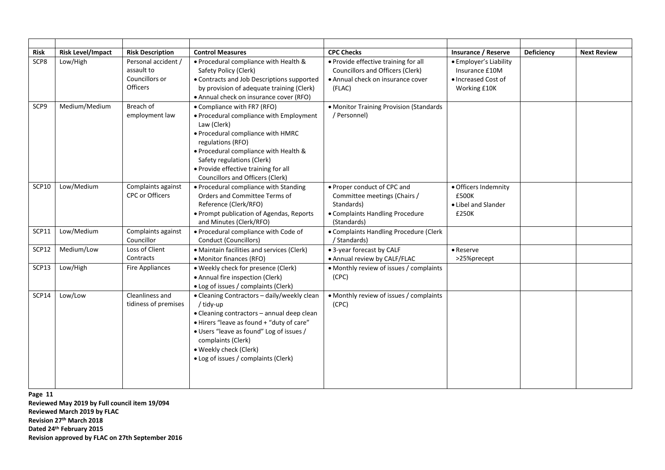| Risk         | <b>Risk Level/Impact</b> | <b>Risk Description</b>                                                | <b>Control Measures</b>                                                                                                                                                                                                                                                                            | <b>CPC Checks</b>                                                                                                           | Insurance / Reserve                                                             | Deficiency | <b>Next Review</b> |
|--------------|--------------------------|------------------------------------------------------------------------|----------------------------------------------------------------------------------------------------------------------------------------------------------------------------------------------------------------------------------------------------------------------------------------------------|-----------------------------------------------------------------------------------------------------------------------------|---------------------------------------------------------------------------------|------------|--------------------|
| SCP8         | Low/High                 | Personal accident /<br>assault to<br>Councillors or<br><b>Officers</b> | • Procedural compliance with Health &<br>Safety Policy (Clerk)<br>• Contracts and Job Descriptions supported<br>by provision of adequate training (Clerk)<br>• Annual check on insurance cover (RFO)                                                                                               | • Provide effective training for all<br>Councillors and Officers (Clerk)<br>• Annual check on insurance cover<br>(FLAC)     | • Employer's Liability<br>Insurance £10M<br>• Increased Cost of<br>Working £10K |            |                    |
| SCP9         | Medium/Medium            | Breach of<br>employment law                                            | • Compliance with FR7 (RFO)<br>• Procedural compliance with Employment<br>Law (Clerk)<br>• Procedural compliance with HMRC<br>regulations (RFO)<br>• Procedural compliance with Health &<br>Safety regulations (Clerk)<br>• Provide effective training for all<br>Councillors and Officers (Clerk) | • Monitor Training Provision (Standards<br>/ Personnel)                                                                     |                                                                                 |            |                    |
| <b>SCP10</b> | Low/Medium               | Complaints against<br><b>CPC or Officers</b>                           | • Procedural compliance with Standing<br>Orders and Committee Terms of<br>Reference (Clerk/RFO)<br>• Prompt publication of Agendas, Reports<br>and Minutes (Clerk/RFO)                                                                                                                             | • Proper conduct of CPC and<br>Committee meetings (Chairs /<br>Standards)<br>• Complaints Handling Procedure<br>(Standards) | · Officers Indemnity<br>£500K<br>• Libel and Slander<br>£250K                   |            |                    |
| <b>SCP11</b> | Low/Medium               | Complaints against<br>Councillor                                       | • Procedural compliance with Code of<br>Conduct (Councillors)                                                                                                                                                                                                                                      | • Complaints Handling Procedure (Clerk<br>/ Standards)                                                                      |                                                                                 |            |                    |
| SCP12        | Medium/Low               | Loss of Client<br>Contracts                                            | • Maintain facilities and services (Clerk)<br>• Monitor finances (RFO)                                                                                                                                                                                                                             | • 3-year forecast by CALF<br>• Annual review by CALF/FLAC                                                                   | • Reserve<br>>25%precept                                                        |            |                    |
| SCP13        | Low/High                 | Fire Appliances                                                        | • Weekly check for presence (Clerk)<br>• Annual fire inspection (Clerk)<br>• Log of issues / complaints (Clerk)                                                                                                                                                                                    | • Monthly review of issues / complaints<br>(CPC)                                                                            |                                                                                 |            |                    |
| <b>SCP14</b> | Low/Low                  | Cleanliness and<br>tidiness of premises                                | • Cleaning Contractors - daily/weekly clean<br>/ tidy-up<br>• Cleaning contractors - annual deep clean<br>• Hirers "leave as found + "duty of care"<br>• Users "leave as found" Log of issues /<br>complaints (Clerk)<br>• Weekly check (Clerk)<br>• Log of issues / complaints (Clerk)            | • Monthly review of issues / complaints<br>(CPC)                                                                            |                                                                                 |            |                    |

**Page 11**

**Reviewed May 2019 by Full council item 19/094 Reviewed March 2019 by FLAC Revision 27th March 2018 Dated 24th February 2015 Revision approved by FLAC on 27th September 2016**